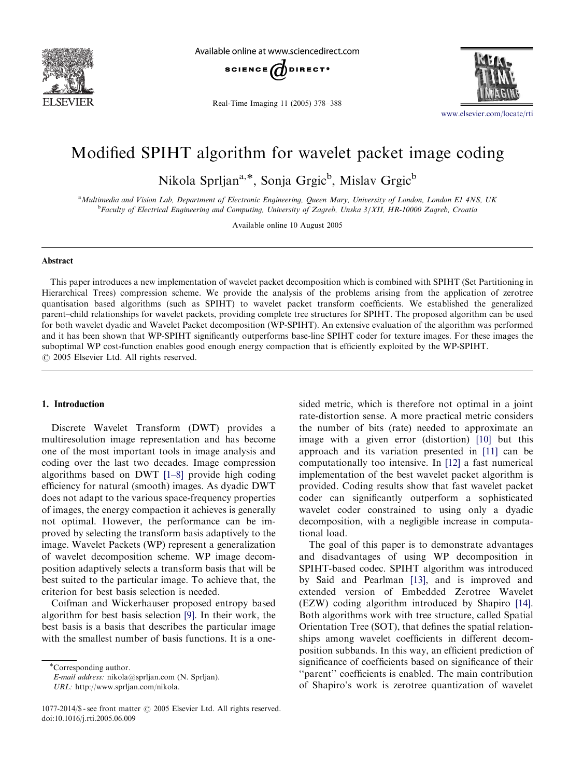

Available online at www.sciencedirect.com



Real-Time Imaging 11 (2005) 378–388



# Modified SPIHT algorithm for wavelet packet image coding

Nikola Sprljan<sup>a,\*</sup>, Sonja Grgic<sup>b</sup>, Mislav Grgic<sup>b</sup>

<sup>a</sup>Multimedia and Vision Lab, Department of Electronic Engineering, Queen Mary, University of London, London E1 4NS, UK **bFaculty of Electrical Engineering and Computing, University of Zagreb, Unska 3/XII, HR-10000 Zagreb, Croatia** 

Available online 10 August 2005

#### Abstract

This paper introduces a new implementation of wavelet packet decomposition which is combined with SPIHT (Set Partitioning in Hierarchical Trees) compression scheme. We provide the analysis of the problems arising from the application of zerotree quantisation based algorithms (such as SPIHT) to wavelet packet transform coefficients. We established the generalized parent–child relationships for wavelet packets, providing complete tree structures for SPIHT. The proposed algorithm can be used for both wavelet dyadic and Wavelet Packet decomposition (WP-SPIHT). An extensive evaluation of the algorithm was performed and it has been shown that WP-SPIHT significantly outperforms base-line SPIHT coder for texture images. For these images the suboptimal WP cost-function enables good enough energy compaction that is efficiently exploited by the WP-SPIHT.  $\odot$  2005 Elsevier Ltd. All rights reserved.

## 1. Introduction

Discrete Wavelet Transform (DWT) provides a multiresolution image representation and has become one of the most important tools in image analysis and coding over the last two decades. Image compression algorithms based on DWT [\[1–8\]](#page-9-0) provide high coding efficiency for natural (smooth) images. As dyadic DWT does not adapt to the various space-frequency properties ofimages, the energy compaction it achieves is generally not optimal. However, the performance can be improved by selecting the transform basis adaptively to the image. Wavelet Packets (WP) represent a generalization of wavelet decomposition scheme. WP image decomposition adaptively selects a transform basis that will be best suited to the particular image. To achieve that, the criterion for best basis selection is needed.

Coifman and Wickerhauser proposed entropy based algorithm for best basis selection [\[9\].](#page-9-0) In their work, the best basis is a basis that describes the particular image with the smallest number of basis functions. It is a one-

Corresponding author.

E-mail address: nikola@sprljan.com (N. Sprljan).

URL: http://www.sprljan.com/nikola.

sided metric, which is therefore not optimal in a joint rate-distortion sense. A more practical metric considers the number of bits (rate) needed to approximate an image with a given error (distortion) [\[10\]](#page-9-0) but this approach and its variation presented in [\[11\]](#page-9-0) can be computationally too intensive. In [\[12\]](#page-9-0) a fast numerical implementation of the best wavelet packet algorithm is provided. Coding results show that fast wavelet packet coder can significantly outperform a sophisticated wavelet coder constrained to using only a dyadic decomposition, with a negligible increase in computational load.

The goal of this paper is to demonstrate advantages and disadvantages of using WP decomposition in SPIHT-based codec. SPIHT algorithm was introduced by Said and Pearlman [\[13\],](#page-9-0) and is improved and extended version of Embedded Zerotree Wavelet (EZW) coding algorithm introduced by Shapiro [\[14\].](#page-9-0) Both algorithms work with tree structure, called Spatial Orientation Tree (SOT), that defines the spatial relationships among wavelet coefficients in different decomposition subbands. In this way, an efficient prediction of significance of coefficients based on significance of their ''parent'' coefficients is enabled. The main contribution of Shapiro's work is zerotree quantization of wavelet

<sup>1077-2014/\$ -</sup> see front matter  $\odot$  2005 Elsevier Ltd. All rights reserved. doi:10.1016/j.rti.2005.06.009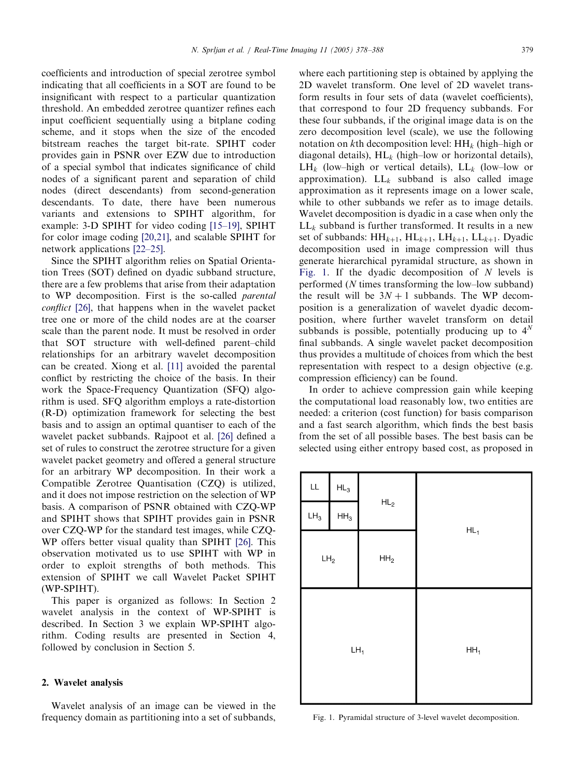coefficients and introduction of special zerotree symbol indicating that all coefficients in a SOT are found to be insignificant with respect to a particular quantization threshold. An embedded zerotree quantizer refines each input coefficient sequentially using a bitplane coding scheme, and it stops when the size of the encoded bitstream reaches the target bit-rate. SPIHT coder provides gain in PSNR over EZW due to introduction of a special symbol that indicates significance of child nodes of a significant parent and separation of child nodes (direct descendants) from second-generation descendants. To date, there have been numerous variants and extensions to SPIHT algorithm, for example: 3-D SPIHT for video coding [\[15–19\],](#page-9-0) SPIHT for color image coding [\[20,21\],](#page-9-0) and scalable SPIHT for network applications [\[22–25\]](#page-9-0).

Since the SPIHT algorithm relies on Spatial Orientation Trees (SOT) defined on dyadic subband structure, there are a few problems that arise from their adaptation to WP decomposition. First is the so-called parental conflict [\[26\]](#page-10-0), that happens when in the wavelet packet tree one or more of the child nodes are at the coarser scale than the parent node. It must be resolved in order that SOT structure with well-defined parent–child relationships for an arbitrary wavelet decomposition can be created. Xiong et al. [\[11\]](#page-9-0) avoided the parental conflict by restricting the choice of the basis. In their work the Space-Frequency Quantization (SFQ) algorithm is used. SFQ algorithm employs a rate-distortion (R-D) optimization framework for selecting the best basis and to assign an optimal quantiser to each of the wavelet packet subbands. Rajpoot et al. [\[26\]](#page-10-0) defined a set of rules to construct the zerotree structure for a given wavelet packet geometry and offered a general structure for an arbitrary WP decomposition. In their work a Compatible Zerotree Quantisation (CZQ) is utilized, and it does not impose restriction on the selection of WP basis. A comparison of PSNR obtained with CZQ-WP and SPIHT shows that SPIHT provides gain in PSNR over CZQ-WP for the standard test images, while CZQ-WP offers better visual quality than SPIHT [\[26\]](#page-10-0). This observation motivated us to use SPIHT with WP in order to exploit strengths of both methods. This extension of SPIHT we call Wavelet Packet SPIHT (WP-SPIHT).

This paper is organized as follows: In Section 2 wavelet analysis in the context of WP-SPIHT is described. In Section 3 we explain WP-SPIHT algorithm. Coding results are presented in Section 4, followed by conclusion in Section 5.

# 2. Wavelet analysis

Wavelet analysis of an image can be viewed in the frequency domain as partitioning into a set of subbands, where each partitioning step is obtained by applying the 2D wavelet transform. One level of 2D wavelet transform results in four sets of data (wavelet coefficients), that correspond to four 2D frequency subbands. For these four subbands, if the original image data is on the zero decomposition level (scale), we use the following notation on kth decomposition level:  $HH_k$  (high–high or diagonal details),  $HL_k$  (high–low or horizontal details),  $LH_k$  (low–high or vertical details),  $LL_k$  (low–low or approximation).  $LL_k$  subband is also called image approximation as it represents image on a lower scale, while to other subbands we refer as to image details. Wavelet decomposition is dyadic in a case when only the  $LL_k$  subband is further transformed. It results in a new set of subbands:  $HH_{k+1}$ ,  $HL_{k+1}$ ,  $LH_{k+1}$ ,  $LL_{k+1}$ . Dyadic decomposition used in image compression will thus generate hierarchical pyramidal structure, as shown in Fig. 1. If the dyadic decomposition of  $N$  levels is performed (N times transforming the low–low subband) the result will be  $3N + 1$  subbands. The WP decomposition is a generalization of wavelet dyadic decomposition, where further wavelet transform on detail subbands is possible, potentially producing up to  $4^N$ final subbands. A single wavelet packet decomposition thus provides a multitude of choices from which the best representation with respect to a design objective (e.g. compression efficiency) can be found.

In order to achieve compression gain while keeping the computational load reasonably low, two entities are needed: a criterion (cost function) for basis comparison and a fast search algorithm, which finds the best basis from the set of all possible bases. The best basis can be selected using either entropy based cost, as proposed in

| $\overline{\mathsf{L}}$  | $\mathsf{HL}_3$ |                 |                 |  |  |
|--------------------------|-----------------|-----------------|-----------------|--|--|
| $LH_3$                   | HH <sub>3</sub> | $\mathsf{HL}_2$ | $HL_1$          |  |  |
| LH <sub>2</sub>          |                 | HH <sub>2</sub> |                 |  |  |
| $\mathsf{L}\mathsf{H}_1$ |                 |                 | HH <sub>1</sub> |  |  |

Fig. 1. Pyramidal structure of 3-level wavelet decomposition.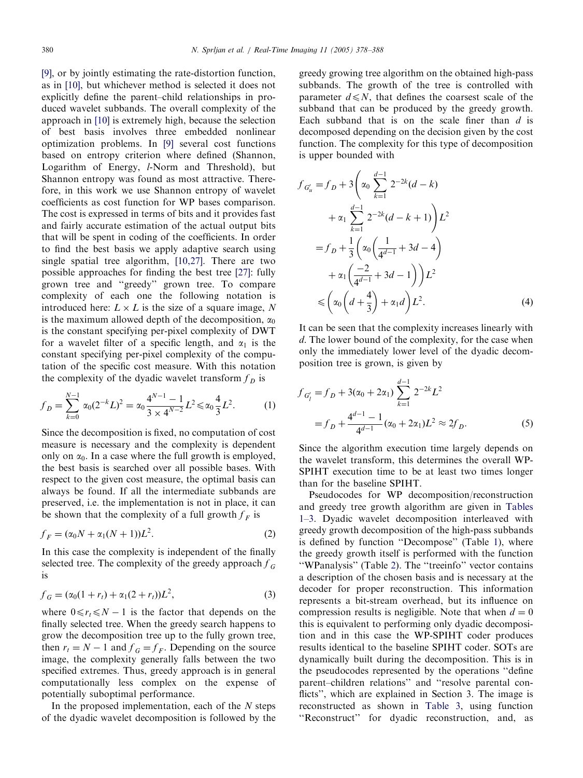[\[9\],](#page-9-0) or by jointly estimating the rate-distortion function, as in [\[10\]](#page-9-0), but whichever method is selected it does not explicitly define the parent–child relationships in produced wavelet subbands. The overall complexity of the approach in [\[10\]](#page-9-0) is extremely high, because the selection of best basis involves three embedded nonlinear optimization problems. In [\[9\]](#page-9-0) several cost functions based on entropy criterion where defined (Shannon, Logarithm of Energy, *l*-Norm and Threshold), but Shannon entropy was found as most attractive. Therefore, in this work we use Shannon entropy of wavelet coefficients as cost function for WP bases comparison. The cost is expressed in terms of bits and it provides fast and fairly accurate estimation of the actual output bits that will be spent in coding of the coefficients. In order to find the best basis we apply adaptive search using single spatial tree algorithm, [\[10,27\]](#page-9-0). There are two possible approaches for finding the best tree [\[27\]:](#page-10-0) fully grown tree and ''greedy'' grown tree. To compare complexity of each one the following notation is introduced here:  $L \times L$  is the size of a square image, N is the maximum allowed depth of the decomposition,  $\alpha_0$ is the constant specifying per-pixel complexity of DWT for a wavelet filter of a specific length, and  $\alpha_1$  is the constant specifying per-pixel complexity of the computation of the specific cost measure. With this notation the complexity of the dyadic wavelet transform  $f<sub>D</sub>$  is

$$
f_D = \sum_{k=0}^{N-1} \alpha_0 (2^{-k} L)^2 = \alpha_0 \frac{4^{N-1} - 1}{3 \times 4^{N-2}} L^2 \le \alpha_0 \frac{4}{3} L^2.
$$
 (1)

Since the decomposition is fixed, no computation of cost measure is necessary and the complexity is dependent only on  $\alpha_0$ . In a case where the full growth is employed, the best basis is searched over all possible bases. With respect to the given cost measure, the optimal basis can always be found. If all the intermediate subbands are preserved, i.e. the implementation is not in place, it can be shown that the complexity of a full growth  $f_F$  is

$$
f_F = (\alpha_0 N + \alpha_1 (N+1))L^2.
$$
 (2)

In this case the complexity is independent of the finally selected tree. The complexity of the greedy approach  $f_G$ is

$$
f_G = (\alpha_0(1 + r_t) + \alpha_1(2 + r_t))L^2,
$$
\n(3)

where  $0 \le r_t \le N - 1$  is the factor that depends on the finally selected tree. When the greedy search happens to grow the decomposition tree up to the fully grown tree, then  $r_t = N - 1$  and  $f_G = f_F$ . Depending on the source image, the complexity generally falls between the two specified extremes. Thus, greedy approach is in general computationally less complex on the expense of potentially suboptimal performance.

In the proposed implementation, each of the  $N$  steps of the dyadic wavelet decomposition is followed by the

greedy growing tree algorithm on the obtained high-pass subbands. The growth of the tree is controlled with parameter  $d \leq N$ , that defines the coarsest scale of the subband that can be produced by the greedy growth. Each subband that is on the scale finer than  $d$  is decomposed depending on the decision given by the cost function. The complexity for this type of decomposition is upper bounded with

$$
f_{G'_u} = f_D + 3\left(\alpha_0 \sum_{k=1}^{d-1} 2^{-2k} (d-k) + \alpha_1 \sum_{k=1}^{d-1} 2^{-2k} (d-k+1)\right) L^2
$$
  
=  $f_D + \frac{1}{3} \left(\alpha_0 \left(\frac{1}{4^{d-1}} + 3d - 4\right) + \alpha_1 \left(\frac{-2}{4^{d-1}} + 3d - 1\right)\right) L^2$   
 $\leq \left(\alpha_0 \left(d + \frac{4}{3}\right) + \alpha_1 d\right) L^2.$  (4)

It can be seen that the complexity increases linearly with  $d$ . The lower bound of the complexity, for the case when only the immediately lower level of the dyadic decomposition tree is grown, is given by

$$
f_{G'_l} = f_D + 3(\alpha_0 + 2\alpha_1) \sum_{k=1}^{d-1} 2^{-2k} L^2
$$
  
=  $f_D + \frac{4^{d-1} - 1}{4^{d-1}} (\alpha_0 + 2\alpha_1) L^2 \approx 2f_D.$  (5)

Since the algorithm execution time largely depends on the wavelet transform, this determines the overall WP-SPIHT execution time to be at least two times longer than for the baseline SPIHT.

Pseudocodes for WP decomposition/reconstruction and greedy tree growth algorithm are given in [Tables](#page-3-0) [1–3](#page-3-0). Dyadic wavelet decomposition interleaved with greedy growth decomposition of the high-pass subbands is defined by function ''Decompose'' (Table [1\)](#page-3-0), where the greedy growth itself is performed with the function ''WPanalysis'' (Table [2](#page-3-0)). The ''treeinfo'' vector contains a description of the chosen basis and is necessary at the decoder for proper reconstruction. This information represents a bit-stream overhead, but its influence on compression results is negligible. Note that when  $d = 0$ this is equivalent to performing only dyadic decomposition and in this case the WP-SPIHT coder produces results identical to the baseline SPIHT coder. SOTs are dynamically built during the decomposition. This is in the pseudocodes represented by the operations ''define parent–children relations'' and ''resolve parental conflicts", which are explained in Section 3. The image is reconstructed as shown in [Table 3](#page-3-0), using function ''Reconstruct'' for dyadic reconstruction, and, as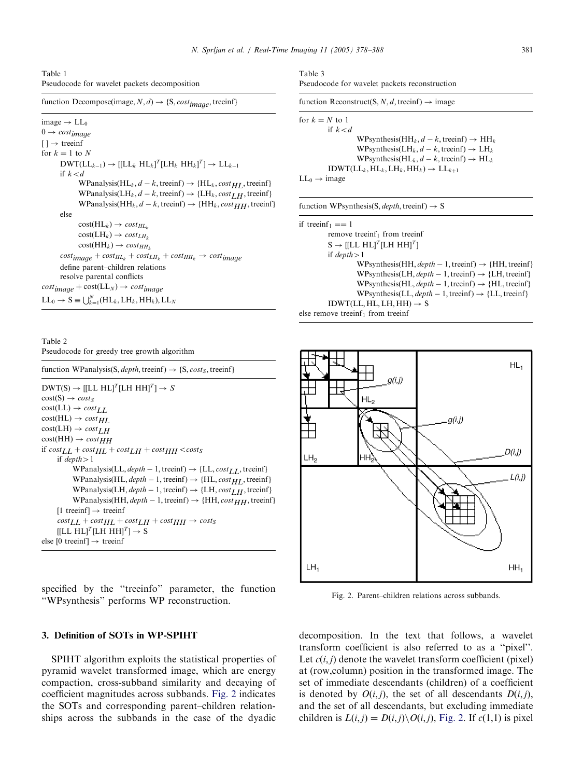<span id="page-3-0"></span>

| Table 1                                      |  |  |  |
|----------------------------------------------|--|--|--|
| Pseudocode for wavelet packets decomposition |  |  |  |

| function Decompose(image, $N$ , $d$ ) $\rightarrow$ {S, cost <sub>image</sub> , treeinf} |  |
|------------------------------------------------------------------------------------------|--|
|------------------------------------------------------------------------------------------|--|

 $image \rightarrow LL_0$ 

 $0 \rightarrow cost_{image}$  $[ ] \rightarrow \text{treeinf}$ for  $k = 1$  to N  $\text{DWT}(\text{LL}_{k-1}) \rightarrow \left[\left[\text{LL}_{k} \ \text{HL}_{k}\right]^T \left[\text{LH}_{k} \ \text{HH}_{k}\right]^T\right] \rightarrow \text{LL}_{k-1}$ if  $k < d$ WPanalysis(HL<sub>k</sub>,  $d - k$ , treeinf)  $\rightarrow$  {HL<sub>k</sub>, cost H<sub>I</sub>, treeinf} WPanalysis(LH<sub>k</sub>,  $d - k$ , treeinf)  $\rightarrow$  {LH<sub>k</sub>, cost<sub>LH</sub>, treeinf} WPanalysis(HH<sub>k</sub>,  $d - k$ , treeinf)  $\rightarrow$  {HH<sub>k</sub>, cost<sub>HH</sub>, treeinf} else  $cost(HL_k) \rightarrow cost_{HLk}$  $cost(LH_k) \rightarrow cost_{LH_k}$  $cost(HH_k) \rightarrow cost_{HH_k}$  $cost_{image} + cost_{HL_k} + cost_{LH_k} + cost_{HH_k} \rightarrow cost_{image}$ define parent–children relations resolve parental conflicts  $cost_{image} + cost(LL_N) \rightarrow cost_{image}$  $\mathsf{LL}_0 \to \mathsf{S} \equiv \bigcup_{k=1}^N (\mathsf{HL}_k, \mathsf{LH}_k, \mathsf{HH}_k), \mathsf{LL}_N$ 

Table 2

| Pseudocode for greedy tree growth algorithm |  |  |  |  |  |
|---------------------------------------------|--|--|--|--|--|
|---------------------------------------------|--|--|--|--|--|

function WPanalysis(S, depth, treeinf)  $\rightarrow$  {S, costs, treeinf}  $\text{DWT(S)} \to [[\text{LL HL}]^T [\text{LH HH}]^T] \to S$  $cost(S) \rightarrow cost_S$  $cost(LL) \rightarrow cost_{LL}$  $cost(HL) \rightarrow cost_{HL}$  $cost(LH) \rightarrow cost_{LH}$  $cost(HH) \rightarrow cost_{HH}$ if  $cost_{LL} + cost_{HL} + cost_{LH} + cost_{HH} < cost_{SS}$ if  $denth>1$ WPanalysis(LL,  $depth - 1$ , treeinf)  $\rightarrow$  {LL, cost<sub>LL</sub>, treeinf} WPanalysis(HL,  $depth - 1$ , treeinf)  $\rightarrow$  {HL, cost  $_{HI}$ , treeinf} WPanalysis(LH,  $depth - 1$ , treeinf)  $\rightarrow$  {LH, costLH}, treeinf} WPanalysis(HH, depth  $-1$ , treeinf)  $\rightarrow$  {HH, cost  $HH$ , treeinf}  $[1 \text{ treeinf}] \rightarrow \text{ treeinf}$  $cost_{LL} + cost_{HL} + cost_{LH} + cost_{HH} \rightarrow cost_{S}$  $[[LL HL]^T [LH HH]^T] \rightarrow S$ else [0 treeinf]  $\rightarrow$  treeinf

specified by the ''treeinfo'' parameter, the function ''WPsynthesis'' performs WP reconstruction.

## 3. Definition of SOTs in WP-SPIHT

SPIHT algorithm exploits the statistical properties of pyramid wavelet transformed image, which are energy compaction, cross-subband similarity and decaying of coefficient magnitudes across subbands. Fig. 2 indicates the SOTs and corresponding parent–children relationships across the subbands in the case of the dyadic

| anje |
|------|
|------|

| Pseudocode for wavelet packets reconstruction |
|-----------------------------------------------|
|                                               |

|                                 | function Reconstruct(S, N, d, treeinf) $\rightarrow$ image                     |
|---------------------------------|--------------------------------------------------------------------------------|
| for $k = N$ to 1                |                                                                                |
| if $k < d$                      |                                                                                |
|                                 | WPsynthesis(HH <sub>k</sub> , $d - k$ , treeinf) $\rightarrow$ HH <sub>k</sub> |
|                                 | WPsynthesis(LH <sub>k</sub> , $d - k$ , treeinf) $\rightarrow$ LH <sub>k</sub> |
|                                 | WPsynthesis(HL <sub>k</sub> , $d - k$ , treeinf) $\rightarrow$ HL <sub>k</sub> |
|                                 | $IDWT(LL_k, HL_k, LH_k, HH_k) \rightarrow LL_{k+1}$                            |
| $LL_0 \rightarrow \text{image}$ |                                                                                |
|                                 |                                                                                |
|                                 |                                                                                |
|                                 | function WPsynthesis(S, <i>depth</i> , treeinf) $\rightarrow$ S                |
| if treeinf <sub>1</sub> == 1    |                                                                                |
|                                 | remove treeinf <sub>1</sub> from treeinf                                       |
|                                 |                                                                                |
|                                 |                                                                                |
|                                 | $S \rightarrow [[LL HL]^T[LH H H]^T]$                                          |
| if $depth > 1$                  | WPsynthesis(HH, $depth - 1$ , treeinf) $\rightarrow$ {HH, treeinf}             |

WPsynthesis(HL,  $depth - 1$ , treeinf)  $\rightarrow$  {HL, treeinf} WPsynthesis(LL,  $depth - 1$ , treeinf)  $\rightarrow$  {LL, treeinf}

 $IDWT(LL, HL, LH, HH) \rightarrow S$ 

else remove treeinf<sub>1</sub> from treeinf



Fig. 2. Parent–children relations across subbands.

decomposition. In the text that follows, a wavelet transform coefficient is also referred to as a ''pixel''. Let  $c(i, j)$  denote the wavelet transform coefficient (pixel) at (row,column) position in the transformed image. The set of immediate descendants (children) of a coefficient is denoted by  $O(i, j)$ , the set of all descendants  $D(i, j)$ , and the set of all descendants, but excluding immediate children is  $L(i, j) = D(i, j) \setminus O(i, j)$ , Fig. 2. If  $c(1,1)$  is pixel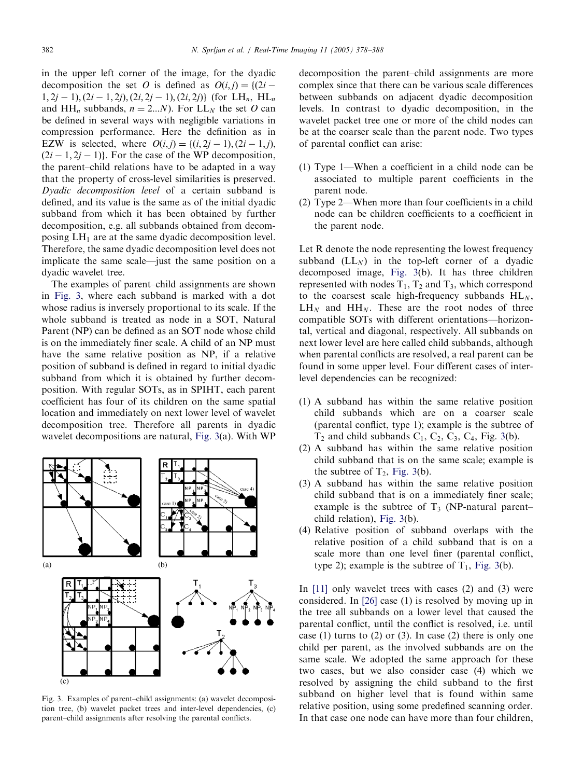<span id="page-4-0"></span>in the upper left corner of the image, for the dyadic decomposition the set O is defined as  $O(i, j) = \{(2i 1, 2j - 1$ ),  $(2i - 1, 2j)$ ,  $(2i, 2j - 1)$ ,  $(2i, 2j)$ } (for LH<sub>n</sub>, HL<sub>n</sub> and HH<sub>n</sub> subbands,  $n = 2...N$ ). For LL<sub>N</sub> the set O can be defined in several ways with negligible variations in compression performance. Here the definition as in EZW is selected, where  $O(i, j) = \{(i, 2j - 1), (2i - 1, j),$  $(2i - 1, 2j - 1)$ . For the case of the WP decomposition, the parent–child relations have to be adapted in a way that the property of cross-level similarities is preserved. Dyadic decomposition level of a certain subband is defined, and its value is the same as of the initial dyadic subband from which it has been obtained by further decomposition, e.g. all subbands obtained from decomposing  $LH_1$  are at the same dyadic decomposition level. Therefore, the same dyadic decomposition level does not implicate the same scale—just the same position on a dyadic wavelet tree.

The examples of parent–child assignments are shown in Fig. 3, where each subband is marked with a dot whose radius is inversely proportional to its scale. If the whole subband is treated as node in a SOT, Natural Parent (NP) can be defined as an SOT node whose child is on the immediately finer scale. A child of an NP must have the same relative position as NP, if a relative position of subband is defined in regard to initial dyadic subband from which it is obtained by further decomposition. With regular SOTs, as in SPIHT, each parent coefficient has four of its children on the same spatial location and immediately on next lower level of wavelet decomposition tree. Therefore all parents in dyadic wavelet decompositions are natural, Fig. 3(a). With WP



Fig. 3. Examples of parent–child assignments: (a) wavelet decomposition tree, (b) wavelet packet trees and inter-level dependencies, (c) parent–child assignments after resolving the parental conflicts.

decomposition the parent–child assignments are more complex since that there can be various scale differences between subbands on adjacent dyadic decomposition levels. In contrast to dyadic decomposition, in the wavelet packet tree one or more of the child nodes can be at the coarser scale than the parent node. Two types of parental conflict can arise:

- (1) Type 1—When a coefficient in a child node can be associated to multiple parent coefficients in the parent node.
- (2) Type 2—When more than four coefficients in a child node can be children coefficients to a coefficient in the parent node.

Let R denote the node representing the lowest frequency subband  $(LL<sub>N</sub>)$  in the top-left corner of a dyadic decomposed image, Fig. 3(b). It has three children represented with nodes  $T_1$ ,  $T_2$  and  $T_3$ , which correspond to the coarsest scale high-frequency subbands  $HL<sub>N</sub>$ ,  $LH_N$  and  $HH_N$ . These are the root nodes of three compatible SOTs with different orientations—horizontal, vertical and diagonal, respectively. All subbands on next lower level are here called child subbands, although when parental conflicts are resolved, a real parent can be found in some upper level. Four different cases of interlevel dependencies can be recognized:

- (1) A subband has within the same relative position child subbands which are on a coarser scale (parental conflict, type 1); example is the subtree of  $T_2$  and child subbands  $C_1$ ,  $C_2$ ,  $C_3$ ,  $C_4$ , Fig. 3(b).
- (2) A subband has within the same relative position child subband that is on the same scale; example is the subtree of  $T_2$ , Fig. 3(b).
- (3) A subband has within the same relative position child subband that is on a immediately finer scale; example is the subtree of  $T_3$  (NP-natural parent– child relation), Fig. 3(b).
- $(4)$  Relative position of subband overlaps with the relative position of a child subband that is on a scale more than one level finer (parental conflict, type 2); example is the subtree of  $T_1$ , Fig. 3(b).

In [\[11\]](#page-9-0) only wavelet trees with cases (2) and (3) were considered. In [\[26\]](#page-10-0) case (1) is resolved by moving up in the tree all subbands on a lower level that caused the parental conflict, until the conflict is resolved, i.e. until case (1) turns to (2) or (3). In case (2) there is only one child per parent, as the involved subbands are on the same scale. We adopted the same approach for these two cases, but we also consider case (4) which we resolved by assigning the child subband to the first subband on higher level that is found within same relative position, using some predefined scanning order. In that case one node can have more than four children,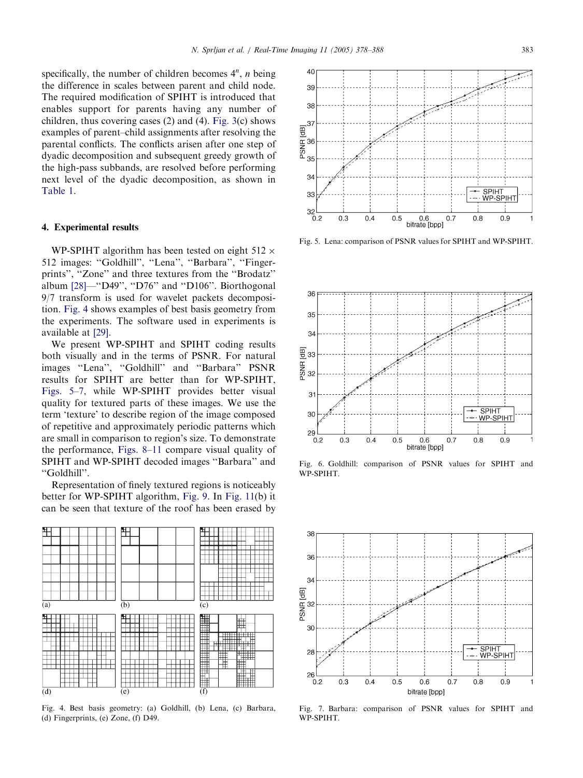specifically, the number of children becomes  $4^n$ , *n* being the difference in scales between parent and child node. The required modification of SPIHT is introduced that enables support for parents having any number of children, thus covering cases (2) and (4). [Fig. 3\(](#page-4-0)c) shows examples of parent–child assignments after resolving the parental conflicts. The conflicts arisen after one step of dyadic decomposition and subsequent greedy growth of the high-pass subbands, are resolved before performing next level of the dyadic decomposition, as shown in [Table 1](#page-3-0).

#### 4. Experimental results

WP-SPIHT algorithm has been tested on eight 512  $\times$ 512 images: ''Goldhill'', ''Lena'', ''Barbara'', ''Fingerprints'', ''Zone'' and three textures from the ''Brodatz'' album [\[28\]](#page-10-0)—''D49'', ''D76'' and ''D106''. Biorthogonal 9/7 transform is used for wavelet packets decomposition. Fig. 4 shows examples of best basis geometry from the experiments. The software used in experiments is available at [\[29\].](#page-10-0)

We present WP-SPIHT and SPIHT coding results both visually and in the terms of PSNR. For natural images ''Lena'', ''Goldhill'' and ''Barbara'' PSNR results for SPIHT are better than for WP-SPIHT, Figs. 5–7, while WP-SPIHT provides better visual quality for textured parts of these images. We use the term 'texture' to describe region of the image composed of repetitive and approximately periodic patterns which are small in comparison to region's size. To demonstrate the performance, [Figs. 8–11](#page-6-0) compare visual quality of SPIHT and WP-SPIHT decoded images ''Barbara'' and ''Goldhill''.

Representation of finely textured regions is noticeably better for WP-SPIHT algorithm, [Fig. 9.](#page-6-0) In [Fig. 11](#page-6-0)(b) it can be seen that texture of the roof has been erased by



Fig. 4. Best basis geometry: (a) Goldhill, (b) Lena, (c) Barbara, (d) Fingerprints, (e) Zone, (f) D49.



Fig. 5. Lena: comparison of PSNR values for SPIHT and WP-SPIHT.



Fig. 6. Goldhill: comparison of PSNR values for SPIHT and WP-SPIHT.



Fig. 7. Barbara: comparison of PSNR values for SPIHT and WP-SPIHT.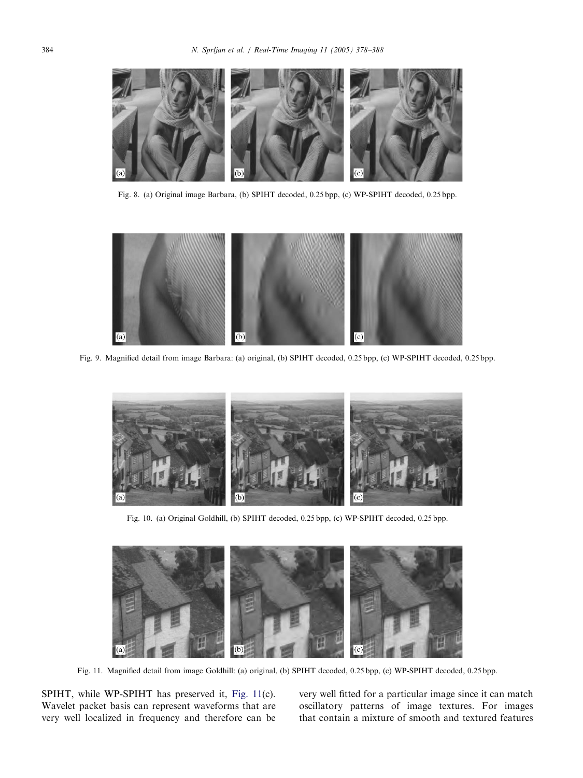<span id="page-6-0"></span>

Fig. 8. (a) Original image Barbara, (b) SPIHT decoded, 0.25 bpp, (c) WP-SPIHT decoded, 0.25 bpp.



Fig. 9. Magnified detail from image Barbara: (a) original, (b) SPIHT decoded, 0.25 bpp, (c) WP-SPIHT decoded, 0.25 bpp.



Fig. 10. (a) Original Goldhill, (b) SPIHT decoded, 0.25 bpp, (c) WP-SPIHT decoded, 0.25 bpp.



Fig. 11. Magnified detail from image Goldhill: (a) original, (b) SPIHT decoded, 0.25 bpp, (c) WP-SPIHT decoded, 0.25 bpp.

SPIHT, while WP-SPIHT has preserved it, Fig. 11(c). Wavelet packet basis can represent waveforms that are very well localized in frequency and therefore can be very well fitted for a particular image since it can match oscillatory patterns of image textures. For images that contain a mixture of smooth and textured features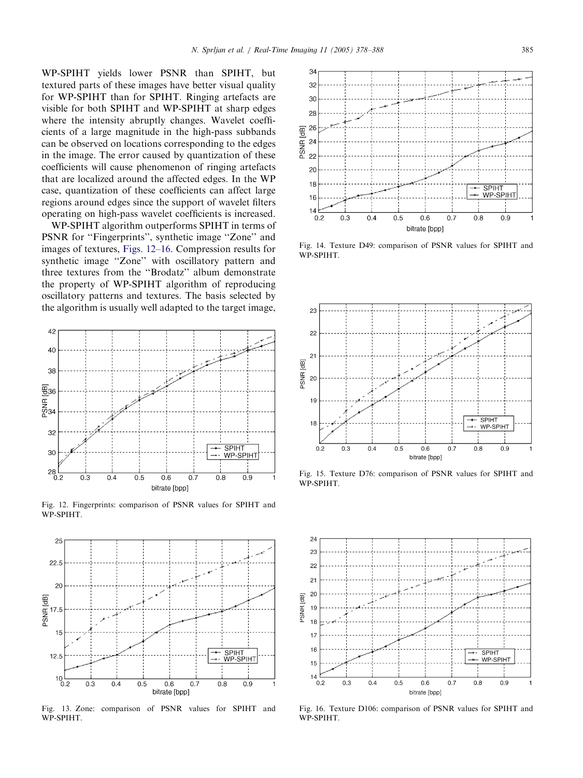<span id="page-7-0"></span>WP-SPIHT yields lower PSNR than SPIHT, but textured parts of these images have better visual quality for WP-SPIHT than for SPIHT. Ringing artefacts are visible for both SPIHT and WP-SPIHT at sharp edges where the intensity abruptly changes. Wavelet coefficients of a large magnitude in the high-pass subbands can be observed on locations corresponding to the edges in the image. The error caused by quantization of these coefficients will cause phenomenon of ringing artefacts that are localized around the affected edges. In the WP case, quantization of these coefficients can affect large regions around edges since the support of wavelet filters operating on high-pass wavelet coefficients is increased.

WP-SPIHT algorithm outperforms SPIHT in terms of PSNR for "Fingerprints", synthetic image "Zone" and images of textures, Figs.  $12-16$ . Compression results for synthetic image ''Zone'' with oscillatory pattern and three textures from the ''Brodatz'' album demonstrate the property of WP-SPIHT algorithm of reproducing oscillatory patterns and textures. The basis selected by the algorithm is usually well adapted to the target image,



Fig. 12. Fingerprints: comparison of PSNR values for SPIHT and WP-SPIHT.



Fig. 13. Zone: comparison of PSNR values for SPIHT and WP-SPIHT.



Fig. 14. Texture D49: comparison of PSNR values for SPIHT and WP-SPIHT.



Fig. 15. Texture D76: comparison of PSNR values for SPIHT and WP-SPIHT.



Fig. 16. Texture D106: comparison of PSNR values for SPIHT and WP-SPIHT.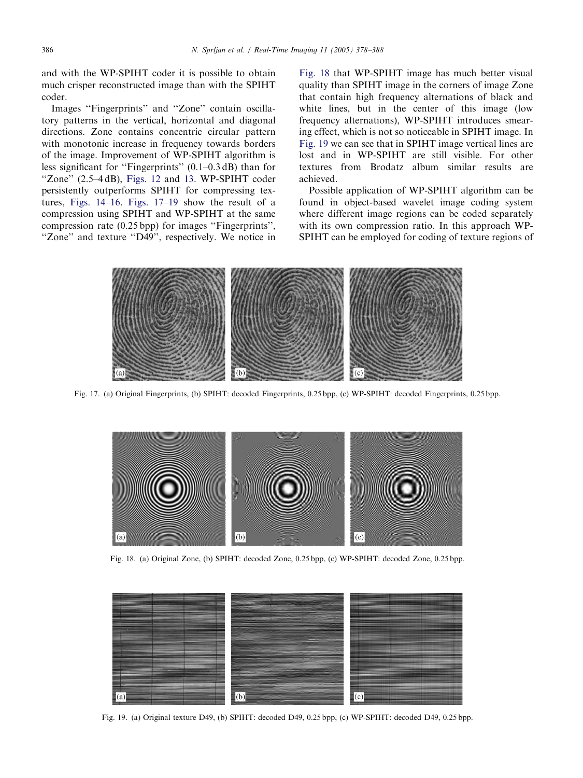and with the WP-SPIHT coder it is possible to obtain much crisper reconstructed image than with the SPIHT coder.

Images ''Fingerprints'' and ''Zone'' contain oscillatory patterns in the vertical, horizontal and diagonal directions. Zone contains concentric circular pattern with monotonic increase in frequency towards borders of the image. Improvement of WP-SPIHT algorithm is less significant for ''Fingerprints'' (0.1–0.3 dB) than for "Zone"  $(2.5-4 dB)$ , [Figs. 12](#page-7-0) and [13.](#page-7-0) WP-SPIHT coder persistently outperforms SPIHT for compressing textures, Figs.  $14-16$ . Figs.  $17-19$  show the result of a compression using SPIHT and WP-SPIHT at the same compression rate (0.25 bpp) for images ''Fingerprints'', ''Zone'' and texture ''D49'', respectively. We notice in

Fig. 18 that WP-SPIHT image has much better visual quality than SPIHT image in the corners of image Zone that contain high frequency alternations of black and white lines, but in the center of this image (low frequency alternations), WP-SPIHT introduces smearing effect, which is not so noticeable in SPIHT image. In Fig. 19 we can see that in SPIHT image vertical lines are lost and in WP-SPIHT are still visible. For other textures from Brodatz album similar results are achieved.

Possible application of WP-SPIHT algorithm can be found in object-based wavelet image coding system where different image regions can be coded separately with its own compression ratio. In this approach WP-SPIHT can be employed for coding of texture regions of



Fig. 17. (a) Original Fingerprints, (b) SPIHT: decoded Fingerprints, 0.25 bpp, (c) WP-SPIHT: decoded Fingerprints, 0.25 bpp.



Fig. 18. (a) Original Zone, (b) SPIHT: decoded Zone, 0.25 bpp, (c) WP-SPIHT: decoded Zone, 0.25 bpp.



Fig. 19. (a) Original texture D49, (b) SPIHT: decoded D49, 0.25 bpp, (c) WP-SPIHT: decoded D49, 0.25 bpp.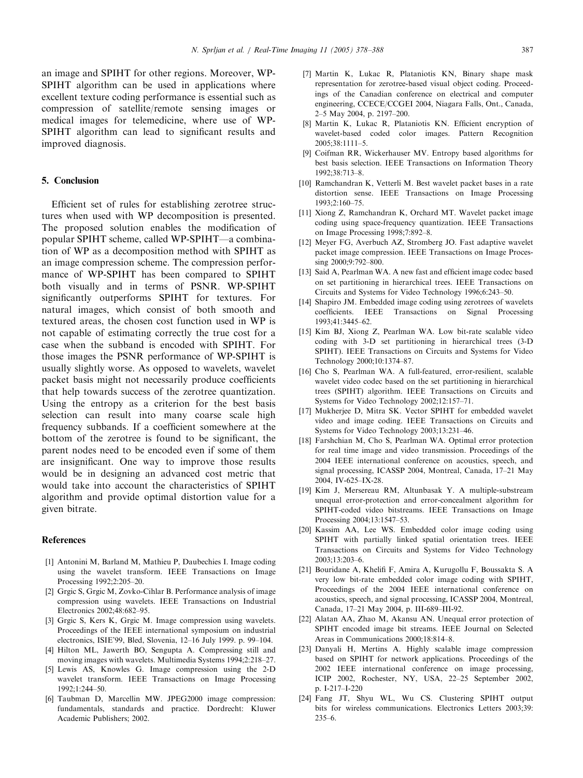<span id="page-9-0"></span>an image and SPIHT for other regions. Moreover, WP-SPIHT algorithm can be used in applications where excellent texture coding performance is essential such as compression of satellite/remote sensing images or medical images for telemedicine, where use of WP-SPIHT algorithm can lead to significant results and improved diagnosis.

## 5. Conclusion

Efficient set of rules for establishing zerotree structures when used with WP decomposition is presented. The proposed solution enables the modification of popular SPIHT scheme, called WP-SPIHT—a combination ofWP as a decomposition method with SPIHT as an image compression scheme. The compression performance of WP-SPIHT has been compared to SPIHT both visually and in terms of PSNR. WP-SPIHT significantly outperforms SPIHT for textures. For natural images, which consist of both smooth and textured areas, the chosen cost function used in WP is not capable of estimating correctly the true cost for a case when the subband is encoded with SPIHT. For those images the PSNR performance of WP-SPIHT is usually slightly worse. As opposed to wavelets, wavelet packet basis might not necessarily produce coefficients that help towards success of the zerotree quantization. Using the entropy as a criterion for the best basis selection can result into many coarse scale high frequency subbands. If a coefficient somewhere at the bottom of the zerotree is found to be significant, the parent nodes need to be encoded even if some of them are insignificant. One way to improve those results would be in designing an advanced cost metric that would take into account the characteristics of SPIHT algorithm and provide optimal distortion value for a given bitrate.

#### References

- [1] Antonini M, Barland M, Mathieu P, Daubechies I. Image coding using the wavelet transform. IEEE Transactions on Image Processing 1992;2:205–20.
- [2] Grgic S, Grgic M, Zovko-Cihlar B. Performance analysis of image compression using wavelets. IEEE Transactions on Industrial Electronics 2002;48:682–95.
- [3] Grgic S, Kers K, Grgic M. Image compression using wavelets. Proceedings of the IEEE international symposium on industrial electronics, ISIE'99, Bled, Slovenia, 12–16 July 1999. p. 99–104.
- [4] Hilton ML, Jawerth BO, Sengupta A. Compressing still and moving images with wavelets. Multimedia Systems 1994;2:218–27.
- [5] Lewis AS, Knowles G. Image compression using the 2-D wavelet transform. IEEE Transactions on Image Processing  $1992:1:244-50.$
- [6] Taubman D, Marcellin MW. JPEG2000 image compression: fundamentals, standards and practice. Dordrecht: Kluwer Academic Publishers; 2002.
- [7] Martin K, Lukac R, Plataniotis KN, Binary shape mask representation for zerotree-based visual object coding. Proceedings of the Canadian conference on electrical and computer engineering, CCECE/CCGEI 2004, Niagara Falls, Ont., Canada, 2–5 May 2004, p. 2197–200.
- [8] Martin K, Lukac R, Plataniotis KN. Efficient encryption of wavelet-based coded color images. Pattern Recognition 2005;38:1111–5.
- [9] Coifman RR, Wickerhauser MV. Entropy based algorithms for best basis selection. IEEE Transactions on Information Theory 1992;38:713–8.
- [10] Ramchandran K, Vetterli M. Best wavelet packet bases in a rate distortion sense. IEEE Transactions on Image Processing 1993;2:160–75.
- [11] Xiong Z, Ramchandran K, Orchard MT. Wavelet packet image coding using space-frequency quantization. IEEE Transactions on Image Processing 1998;7:892–8.
- [12] Meyer FG, Averbuch AZ, Stromberg JO. Fast adaptive wavelet packet image compression. IEEE Transactions on Image Proces- $\sin\sigma$  2000; 9:792–800.
- [13] Said A, Pearlman WA. A new fast and efficient image codec based on set partitioning in hierarchical trees. IEEE Transactions on Circuits and Systems for Video Technology 1996;6:243–50.
- [14] Shapiro JM. Embedded image coding using zerotrees of wavelets coefficients. IEEE Transactions on Signal Processing 1993;41:3445–62.
- [15] Kim BJ, Xiong Z, Pearlman WA. Low bit-rate scalable video coding with 3-D set partitioning in hierarchical trees (3-D SPIHT). IEEE Transactions on Circuits and Systems for Video Technology 2000;10:1374–87.
- [16] Cho S, Pearlman WA. A full-featured, error-resilient, scalable wavelet video codec based on the set partitioning in hierarchical trees (SPIHT) algorithm. IEEE Transactions on Circuits and Systems for Video Technology 2002;12:157–71.
- [17] Mukherjee D, Mitra SK. Vector SPIHT for embedded wavelet video and image coding. IEEE Transactions on Circuits and Systems for Video Technology 2003;13:231–46.
- [18] Farshchian M, Cho S, Pearlman WA. Optimal error protection for real time image and video transmission. Proceedings of the 2004 IEEE international conference on acoustics, speech, and signal processing, ICASSP 2004, Montreal, Canada, 17–21 May 2004, IV-625–IX-28.
- [19] Kim J, Mersereau RM, Altunbasak Y. A multiple-substream unequal error-protection and error-concealment algorithm for SPIHT-coded video bitstreams. IEEE Transactions on Image Processing 2004;13:1547–53.
- [20] Kassim AA, Lee WS. Embedded color image coding using SPIHT with partially linked spatial orientation trees. IEEE Transactions on Circuits and Systems for Video Technology 2003;13:203–6.
- [21] Bouridane A, Khelifi F, Amira A, Kurugollu F, Boussakta S. A very low bit-rate embedded color image coding with SPIHT, Proceedings of the 2004 IEEE international conference on acoustics, speech, and signal processing, ICASSP 2004, Montreal, Canada, 17–21 May 2004, p. III-689–III-92.
- [22] Alatan AA, Zhao M, Akansu AN. Unequal error protection of SPIHT encoded image bit streams. IEEE Journal on Selected Areas in Communications 2000;18:814–8.
- [23] Danyali H, Mertins A. Highly scalable image compression based on SPIHT for network applications. Proceedings of the 2002 IEEE international conference on image processing, ICIP 2002, Rochester, NY, USA, 22–25 September 2002, p. I-217–I-220
- [24] Fang JT, Shyu WL, Wu CS. Clustering SPIHT output bits for wireless communications. Electronics Letters 2003;39: 235–6.